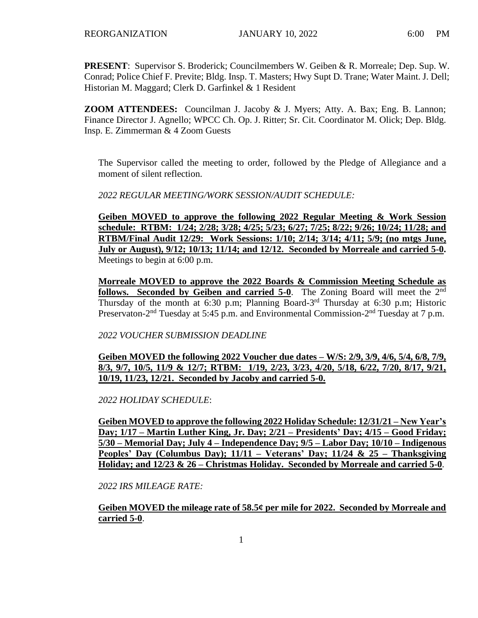**PRESENT**: Supervisor S. Broderick; Councilmembers W. Geiben & R. Morreale; Dep. Sup. W. Conrad; Police Chief F. Previte; Bldg. Insp. T. Masters; Hwy Supt D. Trane; Water Maint. J. Dell; Historian M. Maggard; Clerk D. Garfinkel & 1 Resident

**ZOOM ATTENDEES:** Councilman J. Jacoby & J. Myers; Atty. A. Bax; Eng. B. Lannon; Finance Director J. Agnello; WPCC Ch. Op. J. Ritter; Sr. Cit. Coordinator M. Olick; Dep. Bldg. Insp. E. Zimmerman & 4 Zoom Guests

The Supervisor called the meeting to order, followed by the Pledge of Allegiance and a moment of silent reflection.

*2022 REGULAR MEETING/WORK SESSION/AUDIT SCHEDULE:*

**Geiben MOVED to approve the following 2022 Regular Meeting & Work Session schedule: RTBM: 1/24; 2/28; 3/28; 4/25; 5/23; 6/27; 7/25; 8/22; 9/26; 10/24; 11/28; and RTBM/Final Audit 12/29: Work Sessions: 1/10; 2/14; 3/14; 4/11; 5/9; (no mtgs June, July or August), 9/12; 10/13; 11/14; and 12/12. Seconded by Morreale and carried 5-0.**  Meetings to begin at 6:00 p.m.

**Morreale MOVED to approve the 2022 Boards & Commission Meeting Schedule as follows. Seconded by Geiben and carried 5-0**. The Zoning Board will meet the 2nd Thursday of the month at 6:30 p.m; Planning Board-3<sup>rd</sup> Thursday at 6:30 p.m; Historic Preservaton-2<sup>nd</sup> Tuesday at 5:45 p.m. and Environmental Commission-2<sup>nd</sup> Tuesday at 7 p.m.

*2022 VOUCHER SUBMISSION DEADLINE*

**Geiben MOVED the following 2022 Voucher due dates – W/S: 2/9, 3/9, 4/6, 5/4, 6/8, 7/9, 8/3, 9/7, 10/5, 11/9 & 12/7; RTBM: 1/19, 2/23, 3/23, 4/20, 5/18, 6/22, 7/20, 8/17, 9/21, 10/19, 11/23, 12/21. Seconded by Jacoby and carried 5-0.**

*2022 HOLIDAY SCHEDULE*:

**Geiben MOVED to approve the following 2022 Holiday Schedule: 12/31/21 – New Year's Day; 1/17 – Martin Luther King, Jr. Day; 2/21 – Presidents' Day; 4/15 – Good Friday; 5/30 – Memorial Day; July 4 – Independence Day; 9/5 – Labor Day; 10/10 – Indigenous Peoples' Day (Columbus Day); 11/11 – Veterans' Day; 11/24 & 25 – Thanksgiving Holiday; and 12/23 & 26 – Christmas Holiday. Seconded by Morreale and carried 5-0**.

*2022 IRS MILEAGE RATE:* 

**Geiben MOVED the mileage rate of 58.5¢ per mile for 2022. Seconded by Morreale and carried 5-0**.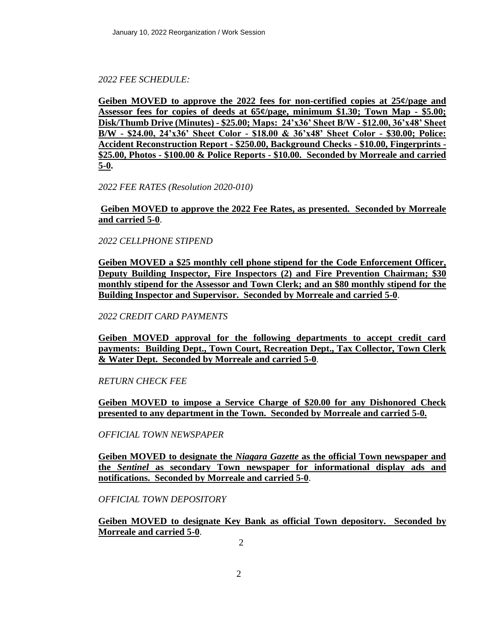# *2022 FEE SCHEDULE:*

**Geiben MOVED to approve the 2022 fees for non-certified copies at 25¢/page and Assessor fees for copies of deeds at 65¢/page, minimum \$1.30; Town Map - \$5.00; Disk/Thumb Drive (Minutes) - \$25.00; Maps: 24'x36' Sheet B/W - \$12.00, 36'x48' Sheet B/W - \$24.00, 24'x36' Sheet Color - \$18.00 & 36'x48' Sheet Color - \$30.00; Police: Accident Reconstruction Report - \$250.00, Background Checks - \$10.00, Fingerprints - \$25.00, Photos - \$100.00 & Police Reports - \$10.00. Seconded by Morreale and carried 5-0.**

*2022 FEE RATES (Resolution 2020-010)*

**Geiben MOVED to approve the 2022 Fee Rates, as presented. Seconded by Morreale and carried 5-0**.

*2022 CELLPHONE STIPEND*

**Geiben MOVED a \$25 monthly cell phone stipend for the Code Enforcement Officer, Deputy Building Inspector, Fire Inspectors (2) and Fire Prevention Chairman; \$30 monthly stipend for the Assessor and Town Clerk; and an \$80 monthly stipend for the Building Inspector and Supervisor. Seconded by Morreale and carried 5-0**.

*2022 CREDIT CARD PAYMENTS*

**Geiben MOVED approval for the following departments to accept credit card payments: Building Dept., Town Court, Recreation Dept., Tax Collector, Town Clerk & Water Dept. Seconded by Morreale and carried 5-0**.

*RETURN CHECK FEE*

**Geiben MOVED to impose a Service Charge of \$20.00 for any Dishonored Check presented to any department in the Town. Seconded by Morreale and carried 5-0.**

*OFFICIAL TOWN NEWSPAPER*

**Geiben MOVED to designate the** *Niagara Gazette* **as the official Town newspaper and the** *Sentinel* **as secondary Town newspaper for informational display ads and notifications. Seconded by Morreale and carried 5-0**.

*OFFICIAL TOWN DEPOSITORY*

**Geiben MOVED to designate Key Bank as official Town depository. Seconded by Morreale and carried 5-0**.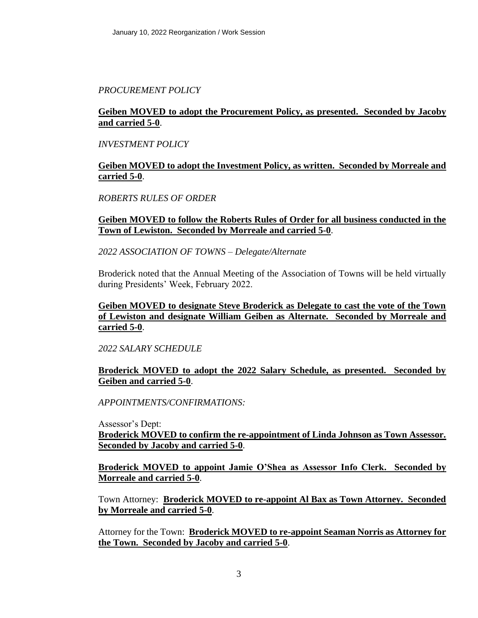# *PROCUREMENT POLICY*

# **Geiben MOVED to adopt the Procurement Policy, as presented. Seconded by Jacoby and carried 5-0**.

## *INVESTMENT POLICY*

# **Geiben MOVED to adopt the Investment Policy, as written. Seconded by Morreale and carried 5-0**.

# *ROBERTS RULES OF ORDER*

# **Geiben MOVED to follow the Roberts Rules of Order for all business conducted in the Town of Lewiston. Seconded by Morreale and carried 5-0**.

### *2022 ASSOCIATION OF TOWNS – Delegate/Alternate*

Broderick noted that the Annual Meeting of the Association of Towns will be held virtually during Presidents' Week, February 2022.

# **Geiben MOVED to designate Steve Broderick as Delegate to cast the vote of the Town of Lewiston and designate William Geiben as Alternate. Seconded by Morreale and carried 5-0**.

#### *2022 SALARY SCHEDULE*

### **Broderick MOVED to adopt the 2022 Salary Schedule, as presented. Seconded by Geiben and carried 5-0**.

*APPOINTMENTS/CONFIRMATIONS:*

Assessor's Dept: **Broderick MOVED to confirm the re-appointment of Linda Johnson as Town Assessor. Seconded by Jacoby and carried 5-0**.

**Broderick MOVED to appoint Jamie O'Shea as Assessor Info Clerk. Seconded by Morreale and carried 5-0**.

Town Attorney: **Broderick MOVED to re-appoint Al Bax as Town Attorney. Seconded by Morreale and carried 5-0**.

Attorney for the Town: **Broderick MOVED to re-appoint Seaman Norris as Attorney for the Town. Seconded by Jacoby and carried 5-0**.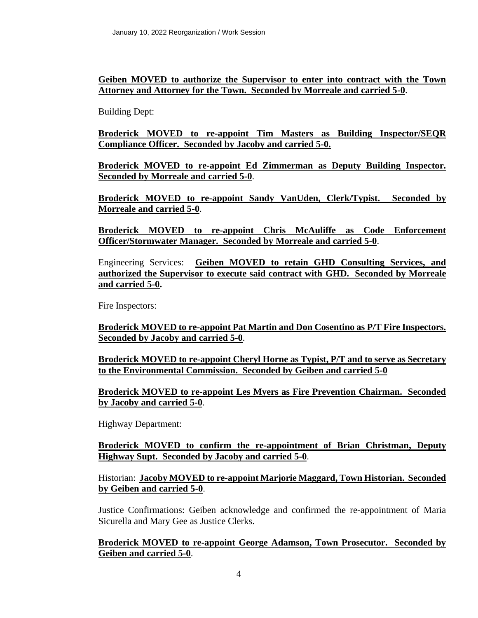**Geiben MOVED to authorize the Supervisor to enter into contract with the Town Attorney and Attorney for the Town. Seconded by Morreale and carried 5-0**.

Building Dept:

**Broderick MOVED to re-appoint Tim Masters as Building Inspector/SEQR Compliance Officer. Seconded by Jacoby and carried 5-0.**

**Broderick MOVED to re-appoint Ed Zimmerman as Deputy Building Inspector. Seconded by Morreale and carried 5-0**.

**Broderick MOVED to re-appoint Sandy VanUden, Clerk/Typist. Seconded by Morreale and carried 5-0**.

**Broderick MOVED to re-appoint Chris McAuliffe as Code Enforcement Officer/Stormwater Manager. Seconded by Morreale and carried 5-0**.

Engineering Services: **Geiben MOVED to retain GHD Consulting Services, and authorized the Supervisor to execute said contract with GHD. Seconded by Morreale and carried 5-0.** 

Fire Inspectors:

**Broderick MOVED to re-appoint Pat Martin and Don Cosentino as P/T Fire Inspectors. Seconded by Jacoby and carried 5-0**.

**Broderick MOVED to re-appoint Cheryl Horne as Typist, P/T and to serve as Secretary to the Environmental Commission. Seconded by Geiben and carried 5-0**

**Broderick MOVED to re-appoint Les Myers as Fire Prevention Chairman. Seconded by Jacoby and carried 5-0**.

Highway Department:

**Broderick MOVED to confirm the re-appointment of Brian Christman, Deputy Highway Supt. Seconded by Jacoby and carried 5-0**.

Historian: **Jacoby MOVED to re-appoint Marjorie Maggard, Town Historian. Seconded by Geiben and carried 5-0**.

Justice Confirmations: Geiben acknowledge and confirmed the re-appointment of Maria Sicurella and Mary Gee as Justice Clerks.

### **Broderick MOVED to re-appoint George Adamson, Town Prosecutor. Seconded by Geiben and carried 5-0**.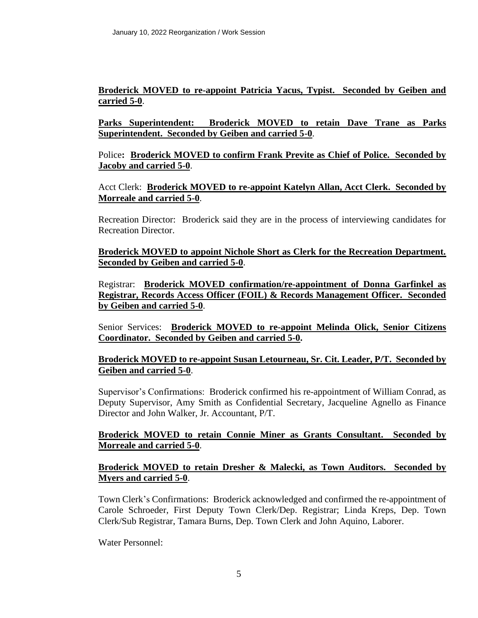# **Broderick MOVED to re-appoint Patricia Yacus, Typist. Seconded by Geiben and carried 5-0**.

**Parks Superintendent: Broderick MOVED to retain Dave Trane as Parks Superintendent. Seconded by Geiben and carried 5-0**.

Police**: Broderick MOVED to confirm Frank Previte as Chief of Police. Seconded by Jacoby and carried 5-0**.

Acct Clerk: **Broderick MOVED to re-appoint Katelyn Allan, Acct Clerk. Seconded by Morreale and carried 5-0**.

Recreation Director: Broderick said they are in the process of interviewing candidates for Recreation Director.

**Broderick MOVED to appoint Nichole Short as Clerk for the Recreation Department. Seconded by Geiben and carried 5-0**.

Registrar: **Broderick MOVED confirmation/re-appointment of Donna Garfinkel as Registrar, Records Access Officer (FOIL) & Records Management Officer. Seconded by Geiben and carried 5-0**.

Senior Services: **Broderick MOVED to re-appoint Melinda Olick, Senior Citizens Coordinator. Seconded by Geiben and carried 5-0.**

# **Broderick MOVED to re-appoint Susan Letourneau, Sr. Cit. Leader, P/T. Seconded by Geiben and carried 5-0**.

Supervisor's Confirmations: Broderick confirmed his re-appointment of William Conrad, as Deputy Supervisor, Amy Smith as Confidential Secretary, Jacqueline Agnello as Finance Director and John Walker, Jr. Accountant, P/T.

### **Broderick MOVED to retain Connie Miner as Grants Consultant. Seconded by Morreale and carried 5-0**.

# **Broderick MOVED to retain Dresher & Malecki, as Town Auditors. Seconded by Myers and carried 5-0**.

Town Clerk's Confirmations: Broderick acknowledged and confirmed the re-appointment of Carole Schroeder, First Deputy Town Clerk/Dep. Registrar; Linda Kreps, Dep. Town Clerk/Sub Registrar, Tamara Burns, Dep. Town Clerk and John Aquino, Laborer.

Water Personnel: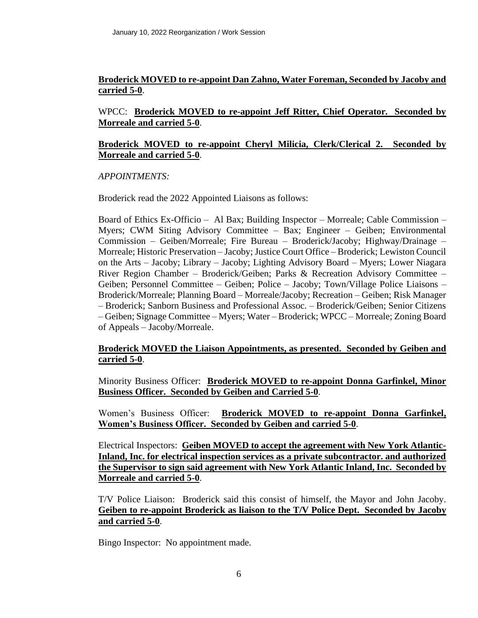# **Broderick MOVED to re-appoint Dan Zahno, Water Foreman, Seconded by Jacoby and carried 5-0**.

# WPCC: **Broderick MOVED to re-appoint Jeff Ritter, Chief Operator. Seconded by Morreale and carried 5-0**.

### **Broderick MOVED to re-appoint Cheryl Milicia, Clerk/Clerical 2. Seconded by Morreale and carried 5-0**.

### *APPOINTMENTS:*

Broderick read the 2022 Appointed Liaisons as follows:

Board of Ethics Ex-Officio – Al Bax; Building Inspector – Morreale; Cable Commission – Myers; CWM Siting Advisory Committee – Bax; Engineer – Geiben; Environmental Commission – Geiben/Morreale; Fire Bureau – Broderick/Jacoby; Highway/Drainage – Morreale; Historic Preservation – Jacoby; Justice Court Office – Broderick; Lewiston Council on the Arts – Jacoby; Library – Jacoby; Lighting Advisory Board – Myers; Lower Niagara River Region Chamber – Broderick/Geiben; Parks & Recreation Advisory Committee – Geiben; Personnel Committee – Geiben; Police – Jacoby; Town/Village Police Liaisons – Broderick/Morreale; Planning Board – Morreale/Jacoby; Recreation – Geiben; Risk Manager – Broderick; Sanborn Business and Professional Assoc. – Broderick/Geiben; Senior Citizens – Geiben; Signage Committee – Myers; Water – Broderick; WPCC – Morreale; Zoning Board of Appeals – Jacoby/Morreale.

# **Broderick MOVED the Liaison Appointments, as presented. Seconded by Geiben and carried 5-0**.

Minority Business Officer: **Broderick MOVED to re-appoint Donna Garfinkel, Minor Business Officer. Seconded by Geiben and Carried 5-0**.

Women's Business Officer: **Broderick MOVED to re-appoint Donna Garfinkel, Women's Business Officer. Seconded by Geiben and carried 5-0**.

Electrical Inspectors: **Geiben MOVED to accept the agreement with New York Atlantic-Inland, Inc. for electrical inspection services as a private subcontractor. and authorized the Supervisor to sign said agreement with New York Atlantic Inland, Inc. Seconded by Morreale and carried 5-0**.

T/V Police Liaison: Broderick said this consist of himself, the Mayor and John Jacoby. **Geiben to re-appoint Broderick as liaison to the T/V Police Dept. Seconded by Jacoby and carried 5-0**.

Bingo Inspector: No appointment made.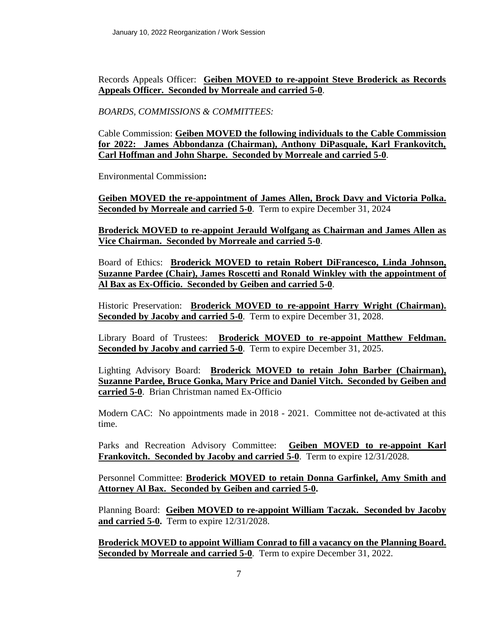Records Appeals Officer: **Geiben MOVED to re-appoint Steve Broderick as Records Appeals Officer. Seconded by Morreale and carried 5-0**.

*BOARDS, COMMISSIONS & COMMITTEES:*

Cable Commission: **Geiben MOVED the following individuals to the Cable Commission for 2022: James Abbondanza (Chairman), Anthony DiPasquale, Karl Frankovitch, Carl Hoffman and John Sharpe. Seconded by Morreale and carried 5-0**.

Environmental Commission**:** 

**Geiben MOVED the re-appointment of James Allen, Brock Davy and Victoria Polka. Seconded by Morreale and carried 5-0**. Term to expire December 31, 2024

**Broderick MOVED to re-appoint Jerauld Wolfgang as Chairman and James Allen as Vice Chairman. Seconded by Morreale and carried 5-0**.

Board of Ethics: **Broderick MOVED to retain Robert DiFrancesco, Linda Johnson, Suzanne Pardee (Chair), James Roscetti and Ronald Winkley with the appointment of Al Bax as Ex-Officio. Seconded by Geiben and carried 5-0**.

Historic Preservation: **Broderick MOVED to re-appoint Harry Wright (Chairman). Seconded by Jacoby and carried 5-0**. Term to expire December 31, 2028.

Library Board of Trustees: **Broderick MOVED to re-appoint Matthew Feldman. Seconded by Jacoby and carried 5-0**. Term to expire December 31, 2025.

Lighting Advisory Board: **Broderick MOVED to retain John Barber (Chairman), Suzanne Pardee, Bruce Gonka, Mary Price and Daniel Vitch. Seconded by Geiben and carried 5-0**. Brian Christman named Ex-Officio

Modern CAC: No appointments made in 2018 - 2021. Committee not de-activated at this time.

Parks and Recreation Advisory Committee: **Geiben MOVED to re-appoint Karl Frankovitch. Seconded by Jacoby and carried 5-0**. Term to expire 12/31/2028.

Personnel Committee: **Broderick MOVED to retain Donna Garfinkel, Amy Smith and Attorney Al Bax. Seconded by Geiben and carried 5-0.**

Planning Board: **Geiben MOVED to re-appoint William Taczak. Seconded by Jacoby and carried 5-0.** Term to expire 12/31/2028.

**Broderick MOVED to appoint William Conrad to fill a vacancy on the Planning Board. Seconded by Morreale and carried 5-0**. Term to expire December 31, 2022.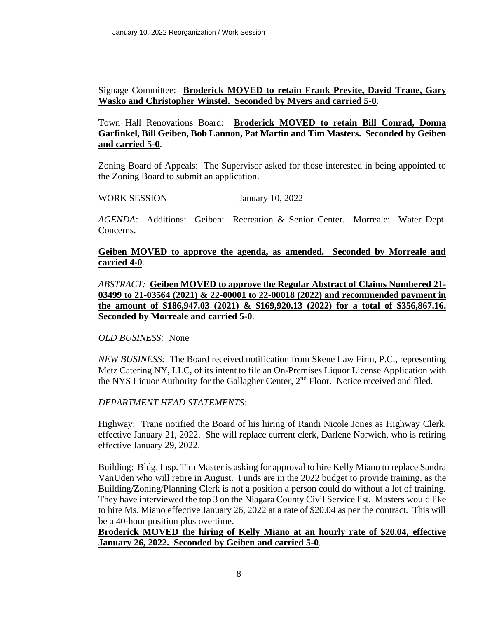## Signage Committee: **Broderick MOVED to retain Frank Previte, David Trane, Gary Wasko and Christopher Winstel. Seconded by Myers and carried 5-0**.

## Town Hall Renovations Board: **Broderick MOVED to retain Bill Conrad, Donna Garfinkel, Bill Geiben, Bob Lannon, Pat Martin and Tim Masters. Seconded by Geiben and carried 5-0**.

Zoning Board of Appeals: The Supervisor asked for those interested in being appointed to the Zoning Board to submit an application.

### WORK SESSION January 10, 2022

*AGENDA:* Additions: Geiben: Recreation & Senior Center. Morreale: Water Dept. Concerns.

### **Geiben MOVED to approve the agenda, as amended. Seconded by Morreale and carried 4-0**.

*ABSTRACT:* **Geiben MOVED to approve the Regular Abstract of Claims Numbered 21- 03499 to 21-03564 (2021) & 22-00001 to 22-00018 (2022) and recommended payment in the amount of \$186,947.03 (2021) & \$169,920.13 (2022) for a total of \$356,867.16. Seconded by Morreale and carried 5-0**.

#### *OLD BUSINESS:* None

*NEW BUSINESS:* The Board received notification from Skene Law Firm, P.C., representing Metz Catering NY, LLC, of its intent to file an On-Premises Liquor License Application with the NYS Liquor Authority for the Gallagher Center,  $2<sup>nd</sup>$  Floor. Notice received and filed.

#### *DEPARTMENT HEAD STATEMENTS:*

Highway: Trane notified the Board of his hiring of Randi Nicole Jones as Highway Clerk, effective January 21, 2022. She will replace current clerk, Darlene Norwich, who is retiring effective January 29, 2022.

Building: Bldg. Insp. Tim Master is asking for approval to hire Kelly Miano to replace Sandra VanUden who will retire in August. Funds are in the 2022 budget to provide training, as the Building/Zoning/Planning Clerk is not a position a person could do without a lot of training. They have interviewed the top 3 on the Niagara County Civil Service list. Masters would like to hire Ms. Miano effective January 26, 2022 at a rate of \$20.04 as per the contract. This will be a 40-hour position plus overtime.

### **Broderick MOVED the hiring of Kelly Miano at an hourly rate of \$20.04, effective January 26, 2022. Seconded by Geiben and carried 5-0**.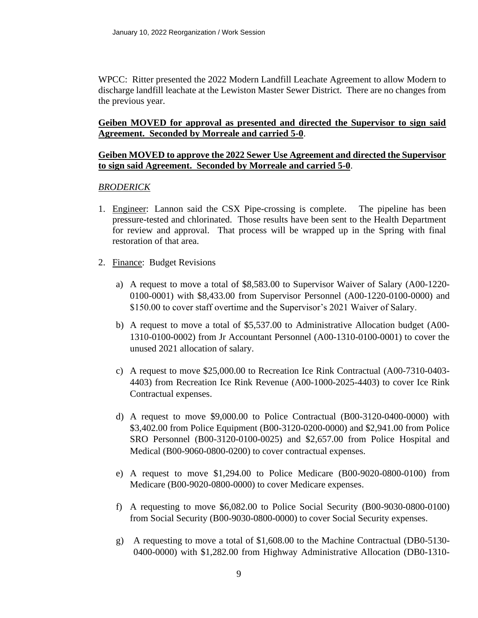WPCC: Ritter presented the 2022 Modern Landfill Leachate Agreement to allow Modern to discharge landfill leachate at the Lewiston Master Sewer District. There are no changes from the previous year.

### **Geiben MOVED for approval as presented and directed the Supervisor to sign said Agreement. Seconded by Morreale and carried 5-0**.

#### **Geiben MOVED to approve the 2022 Sewer Use Agreement and directed the Supervisor to sign said Agreement. Seconded by Morreale and carried 5-0**.

### *BRODERICK*

- 1. Engineer: Lannon said the CSX Pipe-crossing is complete. The pipeline has been pressure-tested and chlorinated. Those results have been sent to the Health Department for review and approval. That process will be wrapped up in the Spring with final restoration of that area.
- 2. Finance: Budget Revisions
	- a) A request to move a total of \$8,583.00 to Supervisor Waiver of Salary (A00-1220- 0100-0001) with \$8,433.00 from Supervisor Personnel (A00-1220-0100-0000) and \$150.00 to cover staff overtime and the Supervisor's 2021 Waiver of Salary.
	- b) A request to move a total of \$5,537.00 to Administrative Allocation budget (A00- 1310-0100-0002) from Jr Accountant Personnel (A00-1310-0100-0001) to cover the unused 2021 allocation of salary.
	- c) A request to move \$25,000.00 to Recreation Ice Rink Contractual (A00-7310-0403- 4403) from Recreation Ice Rink Revenue (A00-1000-2025-4403) to cover Ice Rink Contractual expenses.
	- d) A request to move \$9,000.00 to Police Contractual (B00-3120-0400-0000) with \$3,402.00 from Police Equipment (B00-3120-0200-0000) and \$2,941.00 from Police SRO Personnel (B00-3120-0100-0025) and \$2,657.00 from Police Hospital and Medical (B00-9060-0800-0200) to cover contractual expenses.
	- e) A request to move \$1,294.00 to Police Medicare (B00-9020-0800-0100) from Medicare (B00-9020-0800-0000) to cover Medicare expenses.
	- f) A requesting to move \$6,082.00 to Police Social Security (B00-9030-0800-0100) from Social Security (B00-9030-0800-0000) to cover Social Security expenses.
	- g) A requesting to move a total of \$1,608.00 to the Machine Contractual (DB0-5130- 0400-0000) with \$1,282.00 from Highway Administrative Allocation (DB0-1310-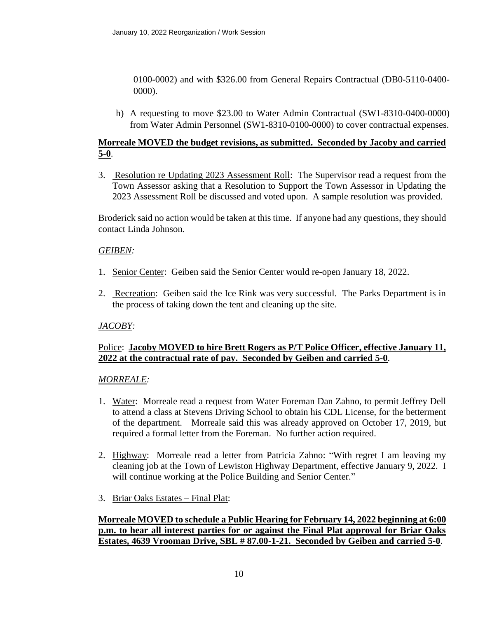0100-0002) and with \$326.00 from General Repairs Contractual (DB0-5110-0400- 0000).

h) A requesting to move \$23.00 to Water Admin Contractual (SW1-8310-0400-0000) from Water Admin Personnel (SW1-8310-0100-0000) to cover contractual expenses.

# **Morreale MOVED the budget revisions, as submitted. Seconded by Jacoby and carried 5-0**.

3. Resolution re Updating 2023 Assessment Roll: The Supervisor read a request from the Town Assessor asking that a Resolution to Support the Town Assessor in Updating the 2023 Assessment Roll be discussed and voted upon. A sample resolution was provided.

Broderick said no action would be taken at this time. If anyone had any questions, they should contact Linda Johnson.

### *GEIBEN:*

- 1. Senior Center: Geiben said the Senior Center would re-open January 18, 2022.
- 2. Recreation: Geiben said the Ice Rink was very successful. The Parks Department is in the process of taking down the tent and cleaning up the site.

#### *JACOBY:*

### Police: **Jacoby MOVED to hire Brett Rogers as P/T Police Officer, effective January 11, 2022 at the contractual rate of pay. Seconded by Geiben and carried 5-0**.

#### *MORREALE:*

- 1. Water: Morreale read a request from Water Foreman Dan Zahno, to permit Jeffrey Dell to attend a class at Stevens Driving School to obtain his CDL License, for the betterment of the department. Morreale said this was already approved on October 17, 2019, but required a formal letter from the Foreman. No further action required.
- 2. Highway: Morreale read a letter from Patricia Zahno: "With regret I am leaving my cleaning job at the Town of Lewiston Highway Department, effective January 9, 2022. I will continue working at the Police Building and Senior Center."
- 3. Briar Oaks Estates Final Plat:

### **Morreale MOVED to schedule a Public Hearing for February 14, 2022 beginning at 6:00 p.m. to hear all interest parties for or against the Final Plat approval for Briar Oaks Estates, 4639 Vrooman Drive, SBL # 87.00-1-21. Seconded by Geiben and carried 5-0**.